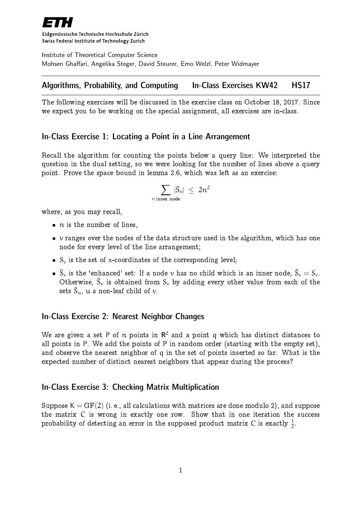

Eidgenössische Technische Hochschule Zürich Swiss Federal Institute of Technology Zurich

Institute of Theoretical Computer Science Mohsen Ghaffari, Angelika Steger, David Steurer, Emo Welzl, Peter Widmayer

# Algorithms, Probability, and Computing In-Class Exercises KW42 HS17

The following exercises will be discussed in the exercise class on October 18, 2017. Since we expect you to be working on the special assignment, all exercises are in-class.

### In-Class Exercise 1: Locating a Point in a Line Arrangement

Recall the algorithm for counting the points below a query line: We interpreted the question in the dual setting, so we were looking for the number of lines above a query point. Prove the space bound in lemma 2.6, which was left as an exercise:

$$
\sum_{v \text{ inner node}} |\bar{S}_v| \leq 2n^2
$$

where, as you may recall,

- n is the number of lines,
- $\bullet$  v ranges over the nodes of the data structure used in the algorithm, which has one node for every level of the line arrangement;
- $\bullet$  S<sub>v</sub> is the set of x-coordinates of the corresponding level;
- $\bullet$   $\bar{S}_v$  is the 'enhanced' set: If a node  $v$  has no child which is an inner node,  $\bar{S}_v = S_v$ . Otherwise,  $\bar{S}_v$  is obtained from  $S_v$  by adding every other value from each of the sets  $\bar{S}_u$ ,  $u$  a non-leaf child of  $v$ .

### In-Class Exercise 2: Nearest Neighbor Changes

We are given a set P of  $\bm{{\mathsf n}}$  points in  $\bm{\mathsf{R}}^2$  and a point  $\bm{{\mathsf q}}$  which has distinct distances to all points in P. We add the points of P in random order (starting with the empty set), and observe the nearest neighbor of q in the set of points inserted so far. What is the expected number of distinct nearest neighbors that appear during the process?

### In-Class Exercise 3: Checking Matrix Multiplication

Suppose  $K = GF(2)$  (i.e., all calculations with matrices are done modulo 2), and suppose the matrix C is wrong in exactly one row. Show that in one iteration the success probability of detecting an error in the supposed product matrix  $\boldsymbol{\mathsf{C}}$  is exactly  $\frac{1}{2}.$